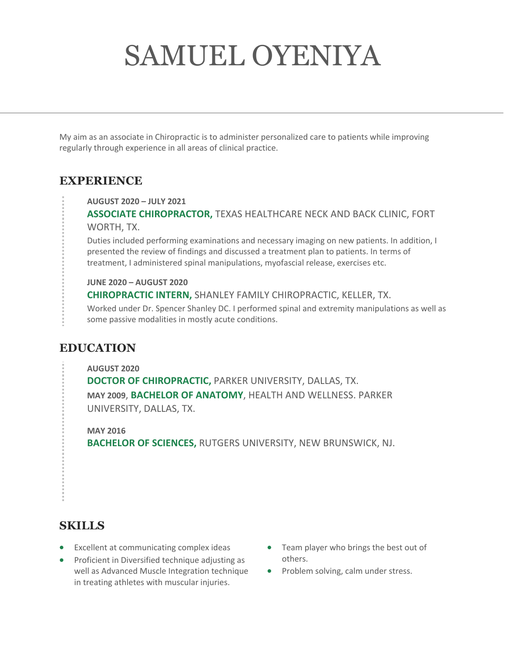# SAMUEL OYENIYA

My aim as an associate in Chiropractic is to administer personalized care to patients while improving regularly through experience in all areas of clinical practice.

### **EXPERIENCE**

**AUGUST 2020 – JULY 2021**

**ASSOCIATE CHIROPRACTOR,** TEXAS HEALTHCARE NECK AND BACK CLINIC, FORT WORTH, TX.

Duties included performing examinations and necessary imaging on new patients. In addition, I presented the review of findings and discussed a treatment plan to patients. In terms of treatment, I administered spinal manipulations, myofascial release, exercises etc.

**JUNE 2020 – AUGUST 2020 CHIROPRACTIC INTERN,** SHANLEY FAMILY CHIROPRACTIC, KELLER, TX.

Worked under Dr. Spencer Shanley DC. I performed spinal and extremity manipulations as well as some passive modalities in mostly acute conditions.

## **EDUCATION**

**AUGUST 2020 DOCTOR OF CHIROPRACTIC,** PARKER UNIVERSITY, DALLAS, TX. **MAY 2009**, **BACHELOR OF ANATOMY**, HEALTH AND WELLNESS. PARKER UNIVERSITY, DALLAS, TX.

**MAY 2016 BACHELOR OF SCIENCES,** RUTGERS UNIVERSITY, NEW BRUNSWICK, NJ.

### **SKILLS**

- Excellent at communicating complex ideas
- Proficient in Diversified technique adjusting as well as Advanced Muscle Integration technique in treating athletes with muscular injuries.
- Team player who brings the best out of others.
- Problem solving, calm under stress.